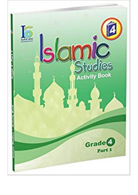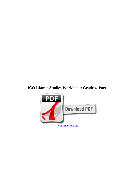## **ICO Islamic Studies Workbook: Grade 4, Part 1**

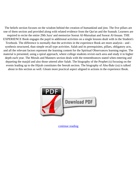The beliefs section focuses on the wisdom behind the creation of humankind and jinn. The five pillars are one of them section and provided along with related evidence from the Qur'an and the Sunnah. Learners are required to recite the entire 29th Juzu' and memorize Soorat Al-Mursalaat and Soorat Al-Insaan. THE EXPERIENCE Book engages the pupil in additional activities on a single lessons dealt with in the Student's Textbook. The difference is normally that the activities in the experience Book are more analysis - and synthesis structured, than simple recall type activities. Salah and its prerequisites, pillars, obligatory acts, and all the relevant factors represent the learning content for the Spiritual Observances learning region. The material is presented, using a spiral approach, where college students revisit each area and study it in higher depth each year. The Morals and Manners section deals with the remembrances stated when entering and departing the masjid and also those uttered after Salah. The biography of the Prophet (s) focusing on the events leading up to the Hijrah constitutes the Seerah section. The biography of Abu-Bakr (ra) is talked about in this section as well. Gleam more practical aspect aligned to actions in the experience Book.



[continue reading](http://bit.ly/2Tge8Fv)